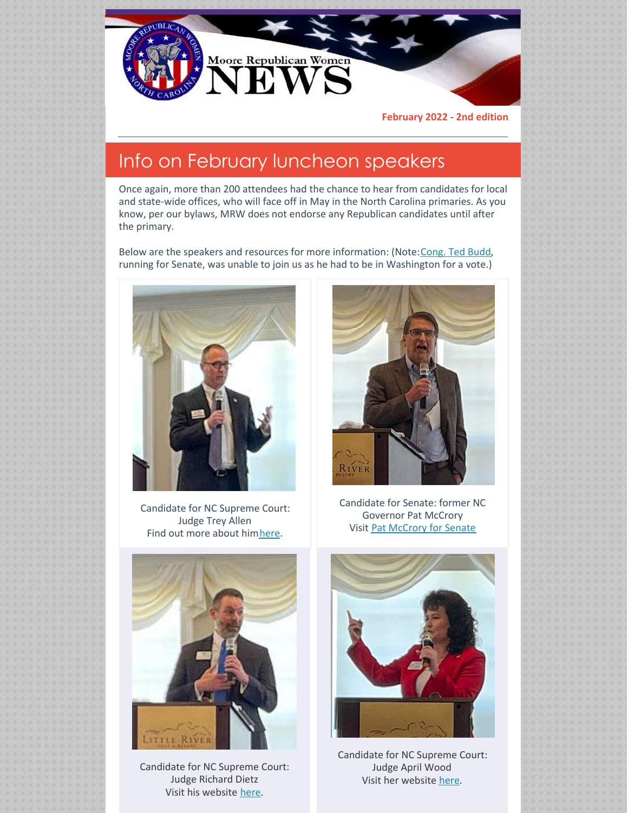

**February 2022 - 2nd edition**

### Info on February luncheon speakers

Once again, more than 200 attendees had the chance to hear from candidates for local and state-wide offices, who will face off in May in the North Carolina primaries. As you know, per our bylaws, MRW does not endorse any Republican candidates until after the primary.

Below are the speakers and resources for more information: (Note: [Cong.](https://tedbudd.com) Ted Budd, running for Senate, was unable to join us as he had to be in Washington for a vote.)



Candidate for NC Supreme Court: Judge Trey Allen Find out more about hi[mhere](https://www.treyallennc.com).



Candidate for Senate: former NC Governor Pat McCrory Visit Pat [McCrory](https://www.patmccrory.com) for Senate



Candidate for NC Supreme Court: Judge Richard Dietz Visit his website [here](https://www.judgedietz.com).



Candidate for NC Supreme Court: Judge April Wood Visit her website [here](https://www.judgewoodforjustice.com).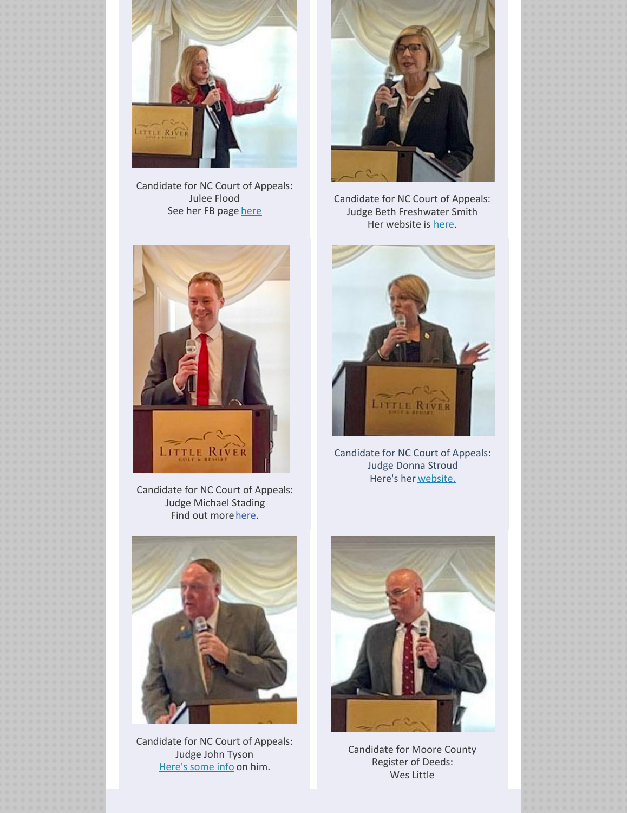

Candidate for NC Court of Appeals: Julee Flood See her FB page [here](https://www.facebook.com/profile.php?id=100068962580162)



Candidate for NC Court of Appeals: Judge Beth Freshwater Smith Her website is [here.](https://votefreshwatersmith.com/?r)



Candidate for NC Court of Appeals: Judge Michael Stading Find out more [here](https://www.michaelstading.com).



Candidate for NC Court of Appeals: Judge Donna Stroud Here's her [website.](https://judgestroud.com)



Candidate for NC Court of Appeals: Judge John Tyson [Here's](https://nsjonline.com/article/2021/09/john-tyson-running-for-another-term-on-nc-court-of-appeals/) some info on him.



Candidate for Moore County Register of Deeds: Wes Little

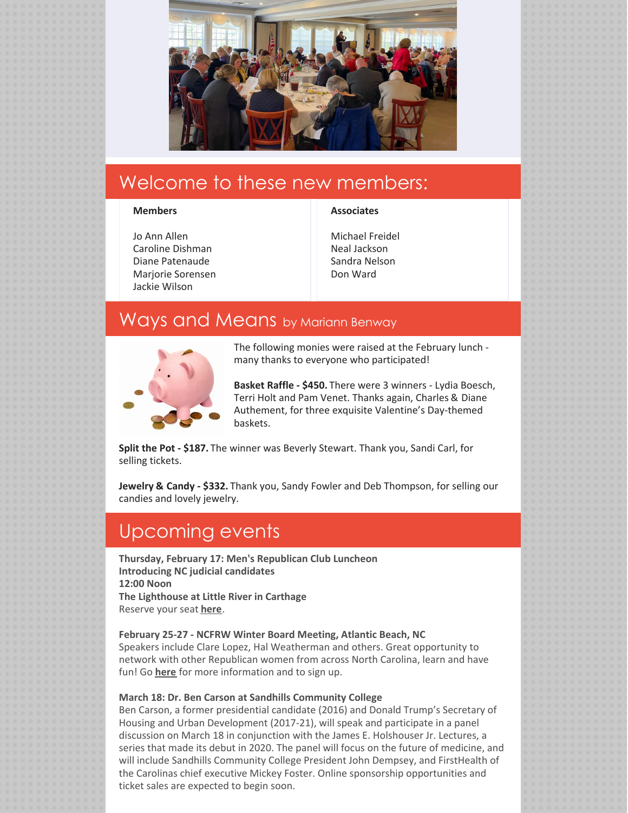![](_page_2_Picture_0.jpeg)

# Welcome to these new members:

### **Members**

### Jo Ann Allen Caroline Dishman Diane Patenaude Marjorie Sorensen Jackie Wilson

#### **Associates**

| Michael Freidel |
|-----------------|
| Neal Jackson    |
| Sandra Nelson   |
| Don Ward        |

### Ways and Means by Mariann Benway

![](_page_2_Picture_7.jpeg)

The following monies were raised at the February lunch many thanks to everyone who participated!

**Basket Raffle - \$450.** There were 3 winners - Lydia Boesch, Terri Holt and Pam Venet. Thanks again, Charles & Diane Authement, for three exquisite Valentine's Day-themed baskets.

**Split the Pot - \$187.** The winner was Beverly Stewart. Thank you, Sandi Carl, for selling tickets.

**Jewelry & Candy - \$332.** Thank you, Sandy Fowler and Deb Thompson, for selling our candies and lovely jewelry.

### Upcoming events

**Thursday, February 17: Men's Republican Club Luncheon Introducing NC judicial candidates 12:00 Noon The Lighthouse at Little River in Carthage** Reserve your seat **[here](https://docs.google.com/forms/d/174MOOCxFJKN7O1UibVQvSvPo3D3q6a5OJAKr4LYQPwU/viewform?edit_requested=true)**.

### **February 25-27 - NCFRW Winter Board Meeting, Atlantic Beach, NC**

Speakers include Clare Lopez, Hal Weatherman and others. Great opportunity to network with other Republican women from across North Carolina, learn and have fun! Go **[here](http://www.ncfrw.com)** for more information and to sign up.

### **March 18: Dr. Ben Carson at Sandhills Community College**

Ben Carson, a former presidential candidate (2016) and Donald Trump's Secretary of Housing and Urban Development (2017-21), will speak and participate in a panel discussion on March 18 in conjunction with the James E. Holshouser Jr. Lectures, a series that made its debut in 2020. The panel will focus on the future of medicine, and will include Sandhills Community College President John Dempsey, and FirstHealth of the Carolinas chief executive Mickey Foster. Online sponsorship opportunities and ticket sales are expected to begin soon.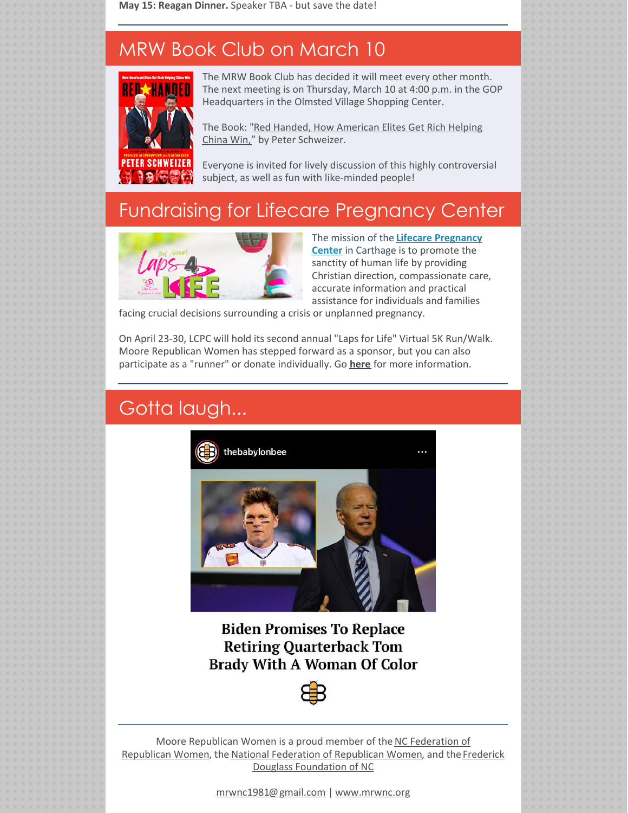**May 15: Reagan Dinner.** Speaker TBA - but save the date!

# MRW Book Club on March 10

![](_page_3_Picture_2.jpeg)

The MRW Book Club has decided it will meet every other month. The next meeting is on Thursday, March 10 at 4:00 p.m. in the GOP Headquarters in the Olmsted Village Shopping Center.

The Book: "Red Handed, How American Elites Get Rich Helping China Win," by Peter [Schweizer.](https://www.amazon.com/Red-Handed-American-Elites-Helping-China-ebook/dp/B0995XDZX3/ref=sr_1_1?crid=22VE57XU33UIE&keywords=red-handed+peter+schweizer&qid=1643213685&sprefix=red-han%2Caps%2C201&sr=8-1)

Everyone is invited for lively discussion of this highly controversial subject, as well as fun with like-minded people!

# Fundraising for Lifecare Pregnancy Center

![](_page_3_Picture_7.jpeg)

The mission of the **Lifecare [Pregnancy](https://lifecarepregnancy.com) Center** in Carthage is to promote the sanctity of human life by providing Christian direction, compassionate care, accurate information and practical assistance for individuals and families

facing crucial decisions surrounding a crisis or unplanned pregnancy.

On April 23-30, LCPC will hold its second annual "Laps for Life" Virtual 5K Run/Walk. Moore Republican Women has stepped forward as a sponsor, but you can also participate as a "runner" or donate individually. Go **[here](https://secure.fundeasy.com/ministrysync/event/website/home/?e=22744)** for more information.

# Gotta laugh...

![](_page_3_Picture_12.jpeg)

**Biden Promises To Replace Retiring Quarterback Tom Brady With A Woman Of Color** 

![](_page_3_Picture_14.jpeg)

Moore Republican Women is a proud member of the NC [Federation](http://www.ncfrw.com) of [Republican](http://www.nfrw.org) Women, the National Federation of Republican Women, and the Frederick Douglass [Foundation](https://fdfnc.site) of NC

[mrwnc1981@gmail.com](mailto:mrwnc1981@gmail.com) | [www.mrwnc.org](http://www.mrwnc.org)